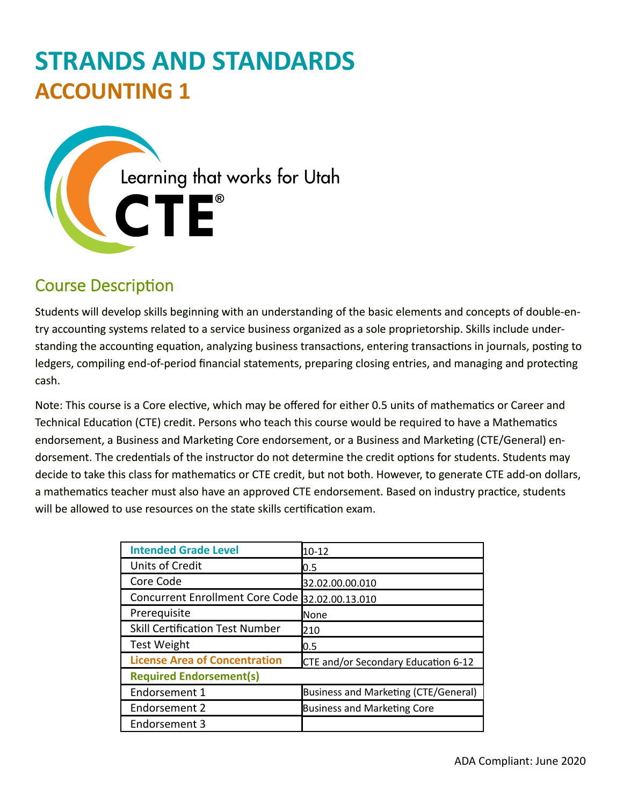# **STRANDS AND STANDARDS ACCOUNTING 1**



# Course Description

Students will develop skills beginning with an understanding of the basic elements and concepts of double-entry accounting systems related to a service business organized as a sole proprietorship. Skills include understanding the accounting equation, analyzing business transactions, entering transactions in journals, posting to ledgers, compiling end-of-period financial statements, preparing closing entries, and managing and protecting cash.

Note: This course is a Core elective, which may be offered for either 0.5 units of mathematics or Career and Technical Education (CTE) credit. Persons who teach this course would be required to have a Mathematics endorsement, a Business and Marketing Core endorsement, or a Business and Marketing (CTE/General) endorsement. The credentials of the instructor do not determine the credit options for students. Students may decide to take this class for mathematics or CTE credit, but not both. However, to generate CTE add-on dollars, a mathematics teacher must also have an approved CTE endorsement. Based on industry practice, students will be allowed to use resources on the state skills certification exam.

| <b>Intended Grade Level</b>                     | $10 - 12$                            |  |  |  |  |  |  |  |  |
|-------------------------------------------------|--------------------------------------|--|--|--|--|--|--|--|--|
| Units of Credit                                 | 0.5                                  |  |  |  |  |  |  |  |  |
| Core Code                                       | 32.02.00.00.010                      |  |  |  |  |  |  |  |  |
| Concurrent Enrollment Core Code 32.02.00.13.010 |                                      |  |  |  |  |  |  |  |  |
| Prerequisite                                    | None                                 |  |  |  |  |  |  |  |  |
| <b>Skill Certification Test Number</b>          | 210                                  |  |  |  |  |  |  |  |  |
| <b>Test Weight</b>                              | 0.5                                  |  |  |  |  |  |  |  |  |
| <b>License Area of Concentration</b>            | CTE and/or Secondary Education 6-12  |  |  |  |  |  |  |  |  |
| <b>Required Endorsement(s)</b>                  |                                      |  |  |  |  |  |  |  |  |
| Endorsement 1                                   | Business and Marketing (CTE/General) |  |  |  |  |  |  |  |  |
| Endorsement 2                                   | <b>Business and Marketing Core</b>   |  |  |  |  |  |  |  |  |
| Endorsement 3                                   |                                      |  |  |  |  |  |  |  |  |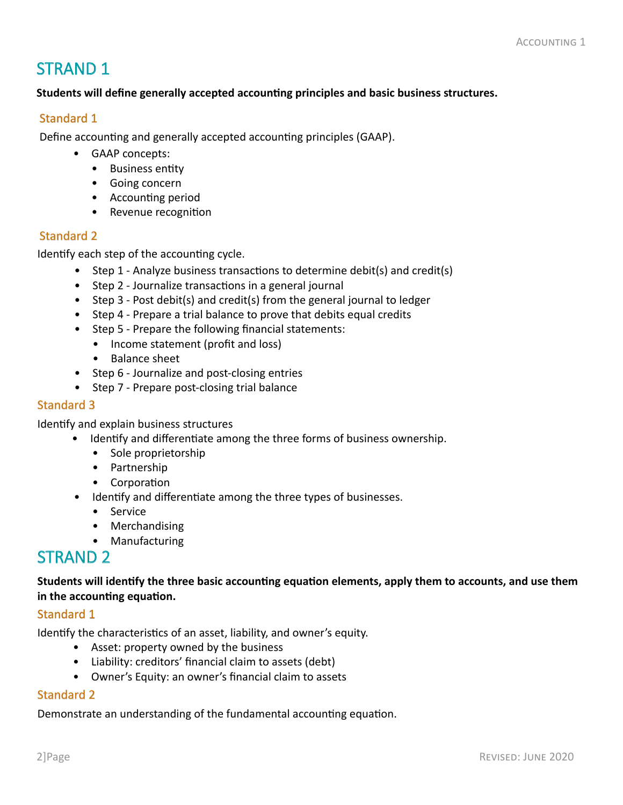# STRAND 1

#### **Students will define generally accepted accounting principles and basic business structures.**

#### Standard 1

Define accounting and generally accepted accounting principles (GAAP).

- GAAP concepts:
	- Business entity
	- Going concern
	- Accounting period
	- Revenue recognition

#### Standard 2

Identify each step of the accounting cycle.

- Step 1 Analyze business transactions to determine debit(s) and credit(s)
- Step 2 Journalize transactions in a general journal
- Step 3 Post debit(s) and credit(s) from the general journal to ledger
- Step 4 Prepare a trial balance to prove that debits equal credits
- Step 5 Prepare the following financial statements:
	- Income statement (profit and loss)
	- Balance sheet
- Step 6 Journalize and post-closing entries
- Step 7 Prepare post-closing trial balance

#### Standard 3

Identify and explain business structures

- Identify and differentiate among the three forms of business ownership.
	- Sole proprietorship
	- Partnership
	- Corporation
- Identify and differentiate among the three types of businesses.
	- Service
	- Merchandising
	- Manufacturing

## STRAND 2

**Students will identify the three basic accounting equation elements, apply them to accounts, and use them in the accounting equation.**

#### Standard 1

Identify the characteristics of an asset, liability, and owner's equity.

- Asset: property owned by the business
- Liability: creditors' financial claim to assets (debt)
- Owner's Equity: an owner's financial claim to assets

#### Standard 2

Demonstrate an understanding of the fundamental accounting equation.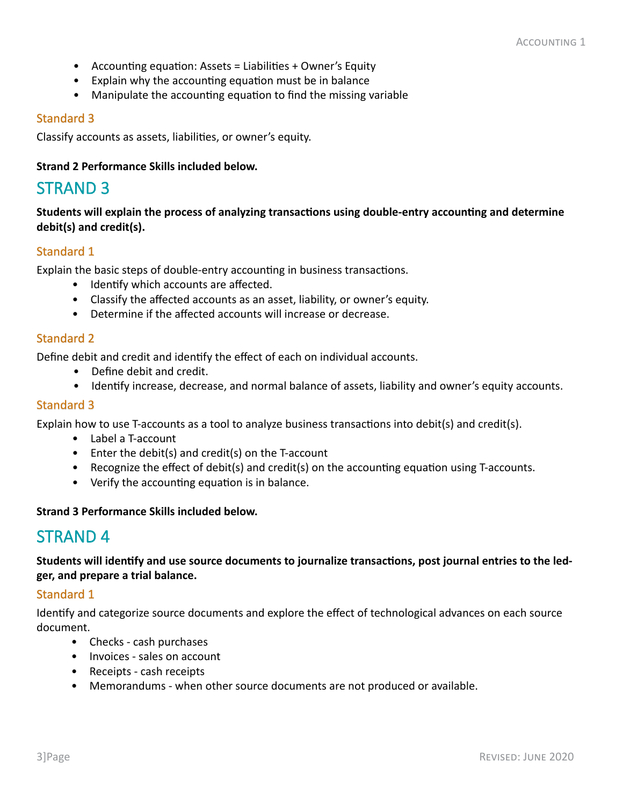- Accounting equation: Assets = Liabilities + Owner's Equity
- Explain why the accounting equation must be in balance
- Manipulate the accounting equation to find the missing variable

Classify accounts as assets, liabilities, or owner's equity.

#### **Strand 2 Performance Skills included below.**

### STRAND 3

**Students will explain the process of analyzing transactions using double-entry accounting and determine debit(s) and credit(s).**

#### Standard 1

Explain the basic steps of double-entry accounting in business transactions.

- Identify which accounts are affected.
- Classify the affected accounts as an asset, liability, or owner's equity.
- Determine if the affected accounts will increase or decrease.

#### Standard 2

Define debit and credit and identify the effect of each on individual accounts.

- Define debit and credit.
- Identify increase, decrease, and normal balance of assets, liability and owner's equity accounts.

#### Standard 3

Explain how to use T-accounts as a tool to analyze business transactions into debit(s) and credit(s).

- Label a T-account
- Enter the debit(s) and credit(s) on the T-account
- Recognize the effect of debit(s) and credit(s) on the accounting equation using T-accounts.
- Verify the accounting equation is in balance.

#### **Strand 3 Performance Skills included below.**

### STRAND 4

**Students will identify and use source documents to journalize transactions, post journal entries to the ledger, and prepare a trial balance.**

#### Standard 1

Identify and categorize source documents and explore the effect of technological advances on each source document.

- Checks cash purchases
- Invoices sales on account
- Receipts cash receipts
- Memorandums when other source documents are not produced or available.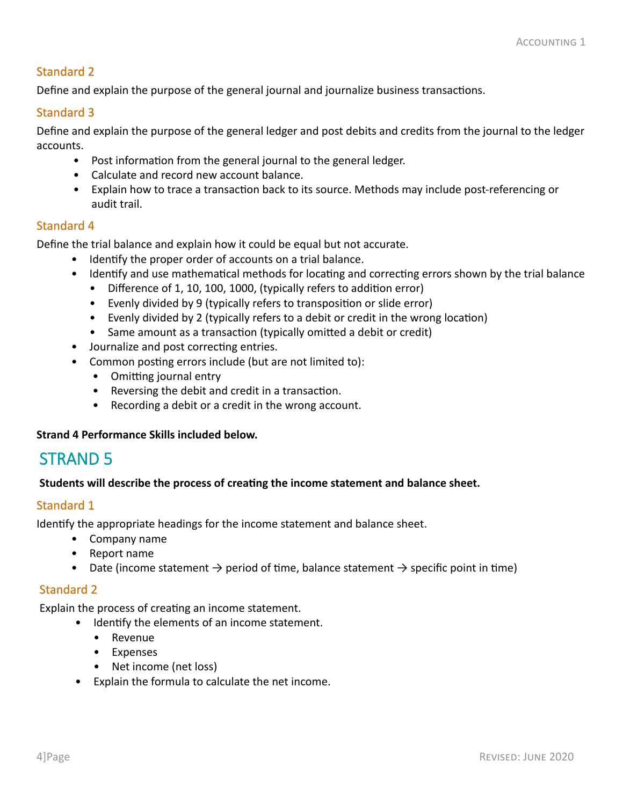Define and explain the purpose of the general journal and journalize business transactions.

#### Standard 3

Define and explain the purpose of the general ledger and post debits and credits from the journal to the ledger accounts.

- Post information from the general journal to the general ledger.
- Calculate and record new account balance.
- Explain how to trace a transaction back to its source. Methods may include post-referencing or audit trail.

#### Standard 4

Define the trial balance and explain how it could be equal but not accurate.

- Identify the proper order of accounts on a trial balance.
- Identify and use mathematical methods for locating and correcting errors shown by the trial balance
	- Difference of 1, 10, 100, 1000, (typically refers to addition error)
	- Evenly divided by 9 (typically refers to transposition or slide error)
	- Evenly divided by 2 (typically refers to a debit or credit in the wrong location)
	- Same amount as a transaction (typically omitted a debit or credit)
- Journalize and post correcting entries.
- Common posting errors include (but are not limited to):
	- Omitting journal entry
	- Reversing the debit and credit in a transaction.
	- Recording a debit or a credit in the wrong account.

#### **Strand 4 Performance Skills included below.**

### STRAND 5

#### **Students will describe the process of creating the income statement and balance sheet.**

#### Standard 1

Identify the appropriate headings for the income statement and balance sheet.

- Company name
- Report name
- Date (income statement  $\rightarrow$  period of time, balance statement  $\rightarrow$  specific point in time)

#### Standard 2

Explain the process of creating an income statement.

- Identify the elements of an income statement.
	- Revenue
	- Expenses
	- Net income (net loss)
- Explain the formula to calculate the net income.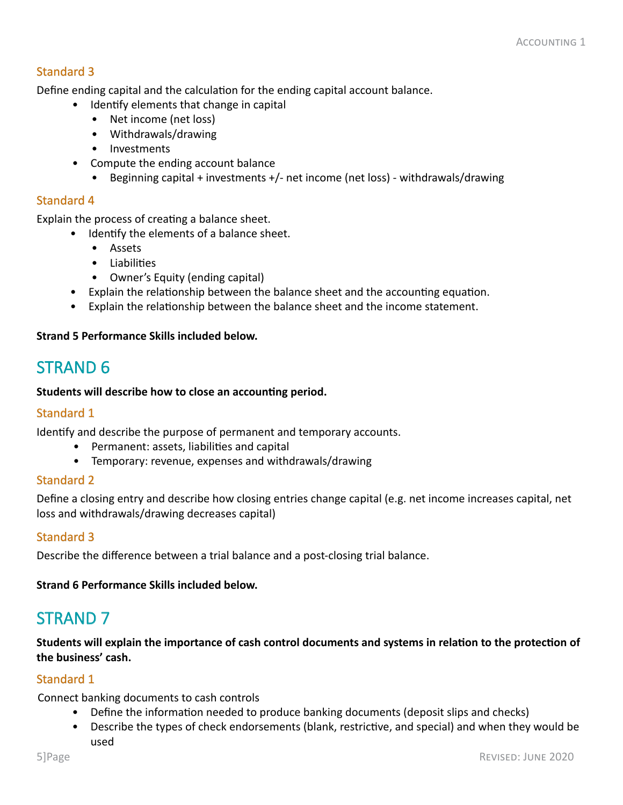Define ending capital and the calculation for the ending capital account balance.

- Identify elements that change in capital
	- Net income (net loss)
	- Withdrawals/drawing
	- Investments
- Compute the ending account balance
	- Beginning capital + investments +/- net income (net loss) withdrawals/drawing

#### Standard 4

Explain the process of creating a balance sheet.

- Identify the elements of a balance sheet.
	- Assets
	- Liabilities
	- Owner's Equity (ending capital)
- Explain the relationship between the balance sheet and the accounting equation.
- Explain the relationship between the balance sheet and the income statement.

#### **Strand 5 Performance Skills included below.**

### STRAND 6

**Students will describe how to close an accounting period.**

#### Standard 1

Identify and describe the purpose of permanent and temporary accounts.

- Permanent: assets, liabilities and capital
- Temporary: revenue, expenses and withdrawals/drawing

#### Standard 2

Define a closing entry and describe how closing entries change capital (e.g. net income increases capital, net loss and withdrawals/drawing decreases capital)

#### Standard 3

Describe the difference between a trial balance and a post-closing trial balance.

**Strand 6 Performance Skills included below.**

### STRAND 7

**Students will explain the importance of cash control documents and systems in relation to the protection of the business' cash.**

#### Standard 1

Connect banking documents to cash controls

- Define the information needed to produce banking documents (deposit slips and checks)
- Describe the types of check endorsements (blank, restrictive, and special) and when they would be used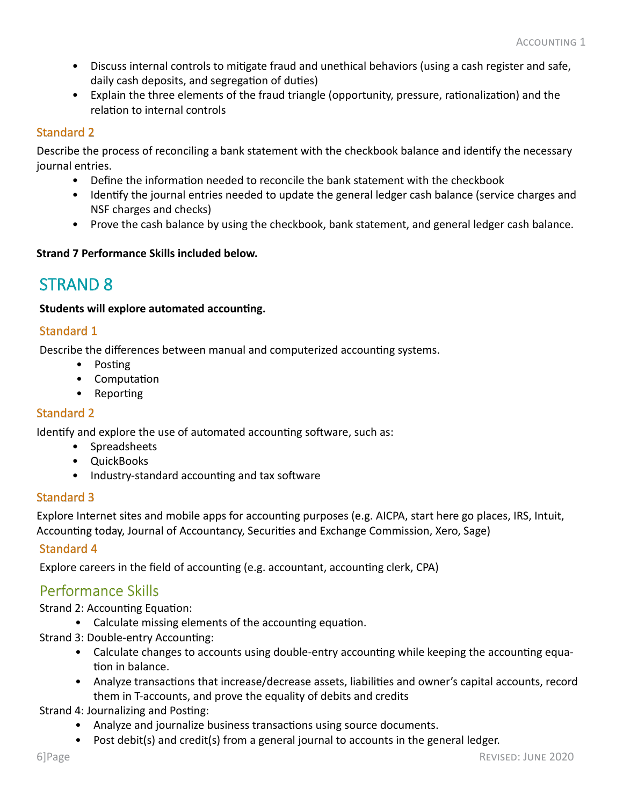- Discuss internal controls to mitigate fraud and unethical behaviors (using a cash register and safe, daily cash deposits, and segregation of duties)
- Explain the three elements of the fraud triangle (opportunity, pressure, rationalization) and the relation to internal controls

Describe the process of reconciling a bank statement with the checkbook balance and identify the necessary journal entries.

- Define the information needed to reconcile the bank statement with the checkbook
- Identify the journal entries needed to update the general ledger cash balance (service charges and NSF charges and checks)
- Prove the cash balance by using the checkbook, bank statement, and general ledger cash balance.

#### **Strand 7 Performance Skills included below.**

### STRAND 8

#### **Students will explore automated accounting.**

#### Standard 1

Describe the differences between manual and computerized accounting systems.

- Posting
- Computation
- Reporting

#### Standard 2

Identify and explore the use of automated accounting software, such as:

- Spreadsheets
- QuickBooks
- Industry-standard accounting and tax software

#### Standard 3

Explore Internet sites and mobile apps for accounting purposes (e.g. AICPA, start here go places, IRS, Intuit, Accounting today, Journal of Accountancy, Securities and Exchange Commission, Xero, Sage)

#### Standard 4

Explore careers in the field of accounting (e.g. accountant, accounting clerk, CPA)

### Performance Skills

Strand 2: Accounting Equation:

- Calculate missing elements of the accounting equation.
- Strand 3: Double-entry Accounting:
	- Calculate changes to accounts using double-entry accounting while keeping the accounting equation in balance.
	- Analyze transactions that increase/decrease assets, liabilities and owner's capital accounts, record them in T-accounts, and prove the equality of debits and credits

Strand 4: Journalizing and Posting:

- Analyze and journalize business transactions using source documents.
- Post debit(s) and credit(s) from a general journal to accounts in the general ledger.